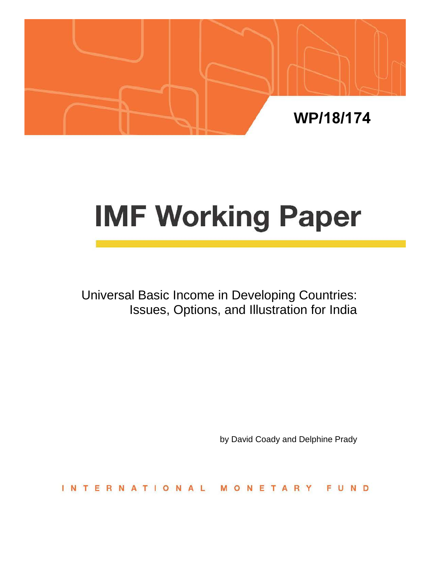

# **IMF Working Paper**

Universal Basic Income in Developing Countries: Issues, Options, and Illustration for India

by David Coady and Delphine Prady

**INTERNATIONA** ETARY F U N<sub>D</sub> M  $\circ$ N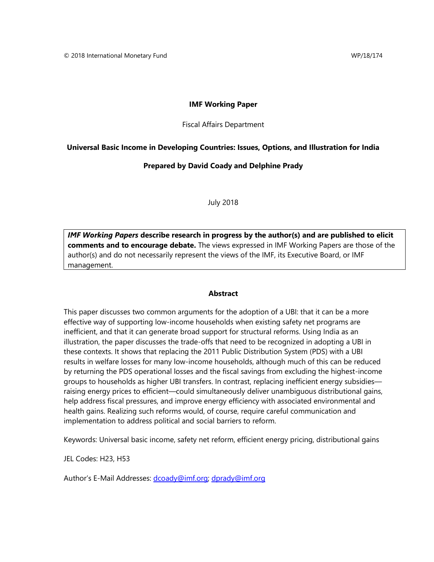## **IMF Working Paper**

## Fiscal Affairs Department

## **Universal Basic Income in Developing Countries: Issues, Options, and Illustration for India**

## **Prepared by David Coady and Delphine Prady**

July 2018

*IMF Working Papers* **describe research in progress by the author(s) and are published to elicit comments and to encourage debate.** The views expressed in IMF Working Papers are those of the author(s) and do not necessarily represent the views of the IMF, its Executive Board, or IMF management.

## **Abstract**

This paper discusses two common arguments for the adoption of a UBI: that it can be a more effective way of supporting low-income households when existing safety net programs are inefficient, and that it can generate broad support for structural reforms. Using India as an illustration, the paper discusses the trade-offs that need to be recognized in adopting a UBI in these contexts. It shows that replacing the 2011 Public Distribution System (PDS) with a UBI results in welfare losses for many low-income households, although much of this can be reduced by returning the PDS operational losses and the fiscal savings from excluding the highest-income groups to households as higher UBI transfers. In contrast, replacing inefficient energy subsidies raising energy prices to efficient—could simultaneously deliver unambiguous distributional gains, help address fiscal pressures, and improve energy efficiency with associated environmental and health gains. Realizing such reforms would, of course, require careful communication and implementation to address political and social barriers to reform.

Keywords: Universal basic income, safety net reform, efficient energy pricing, distributional gains

JEL Codes: H23, H53

Author's E-Mail Addresses: [dcoady@imf.org;](mailto:dcoady@imf.org) [dprady@imf.org](mailto:dprady@imf.org)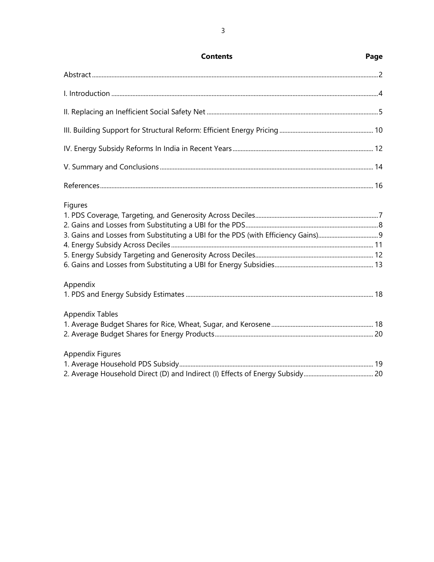| <b>Contents</b>         |  |  |  |  |
|-------------------------|--|--|--|--|
|                         |  |  |  |  |
|                         |  |  |  |  |
|                         |  |  |  |  |
|                         |  |  |  |  |
|                         |  |  |  |  |
|                         |  |  |  |  |
|                         |  |  |  |  |
| Figures                 |  |  |  |  |
|                         |  |  |  |  |
|                         |  |  |  |  |
|                         |  |  |  |  |
|                         |  |  |  |  |
|                         |  |  |  |  |
|                         |  |  |  |  |
| Appendix                |  |  |  |  |
|                         |  |  |  |  |
| <b>Appendix Tables</b>  |  |  |  |  |
|                         |  |  |  |  |
|                         |  |  |  |  |
| <b>Appendix Figures</b> |  |  |  |  |
|                         |  |  |  |  |
|                         |  |  |  |  |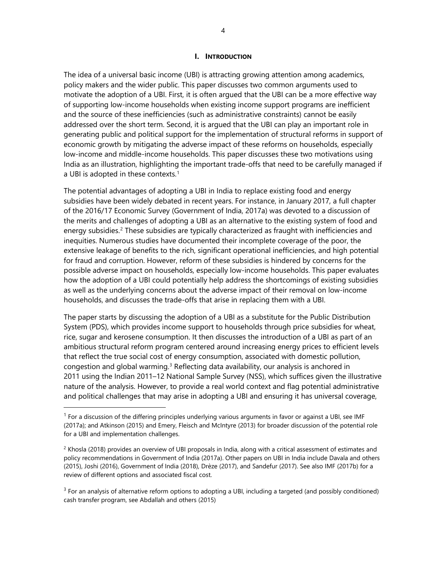## **I. INTRODUCTION**

The idea of a universal basic income (UBI) is attracting growing attention among academics, policy makers and the wider public. This paper discusses two common arguments used to motivate the adoption of a UBI. First, it is often argued that the UBI can be a more effective way of supporting low-income households when existing income support programs are inefficient and the source of these inefficiencies (such as administrative constraints) cannot be easily addressed over the short term. Second, it is argued that the UBI can play an important role in generating public and political support for the implementation of structural reforms in support of economic growth by mitigating the adverse impact of these reforms on households, especially low-income and middle-income households. This paper discusses these two motivations using India as an illustration, highlighting the important trade-offs that need to be carefully managed if a UBI is adopted in these contexts. [1](#page-3-0)

The potential advantages of adopting a UBI in India to replace existing food and energy subsidies have been widely debated in recent years. For instance, in January 2017, a full chapter of the 2016/17 Economic Survey (Government of India, 2017a) was devoted to a discussion of the merits and challenges of adopting a UBI as an alternative to the existing system of food and energy subsidies. $^\text{2}$  $^\text{2}$  $^\text{2}$  These subsidies are typically characterized as fraught with inefficiencies and inequities. Numerous studies have documented their incomplete coverage of the poor, the extensive leakage of benefits to the rich, significant operational inefficiencies, and high potential for fraud and corruption. However, reform of these subsidies is hindered by concerns for the possible adverse impact on households, especially low-income households. This paper evaluates how the adoption of a UBI could potentially help address the shortcomings of existing subsidies as well as the underlying concerns about the adverse impact of their removal on low-income households, and discusses the trade-offs that arise in replacing them with a UBI.

The paper starts by discussing the adoption of a UBI as a substitute for the Public Distribution System (PDS), which provides income support to households through price subsidies for wheat, rice, sugar and kerosene consumption. It then discusses the introduction of a UBI as part of an ambitious structural reform program centered around increasing energy prices to efficient levels that reflect the true social cost of energy consumption, associated with domestic pollution, congestion and global warming.<sup>3</sup> Reflecting data availability, our analysis is anchored in 2011 using the Indian 2011–12 National Sample Survey (NSS), which suffices given the illustrative nature of the analysis. However, to provide a real world context and flag potential administrative and political challenges that may arise in adopting a UBI and ensuring it has universal coverage,

<span id="page-3-0"></span><sup>&</sup>lt;sup>1</sup> For a discussion of the differing principles underlying various arguments in favor or against a UBI, see IMF (2017a); and Atkinson (2015) and Emery, Fleisch and McIntyre (2013) for broader discussion of the potential role for a UBI and implementation challenges.

<span id="page-3-1"></span><sup>&</sup>lt;sup>2</sup> Khosla (2018) provides an overview of UBI proposals in India, along with a critical assessment of estimates and policy recommendations in Government of India (2017a). Other papers on UBI in India include Davala and others (2015), Joshi (2016), Government of India (2018), Drèze (2017), and Sandefur (2017). See also IMF (2017b) for a review of different options and associated fiscal cost.

<span id="page-3-2"></span> $3$  For an analysis of alternative reform options to adopting a UBI, including a targeted (and possibly conditioned) cash transfer program, see Abdallah and others (2015)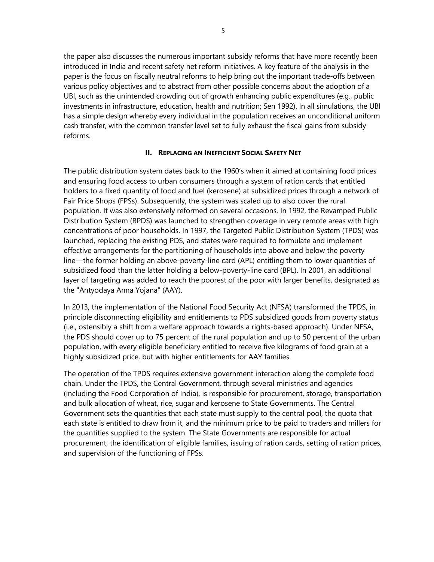the paper also discusses the numerous important subsidy reforms that have more recently been introduced in India and recent safety net reform initiatives. A key feature of the analysis in the paper is the focus on fiscally neutral reforms to help bring out the important trade-offs between various policy objectives and to abstract from other possible concerns about the adoption of a UBI, such as the unintended crowding out of growth enhancing public expenditures (e.g., public investments in infrastructure, education, health and nutrition; Sen 1992). In all simulations, the UBI has a simple design whereby every individual in the population receives an unconditional uniform cash transfer, with the common transfer level set to fully exhaust the fiscal gains from subsidy reforms.

# **II. REPLACING AN INEFFICIENT SOCIAL SAFETY NET**

The public distribution system dates back to the 1960's when it aimed at containing food prices and ensuring food access to urban consumers through a system of ration cards that entitled holders to a fixed quantity of food and fuel (kerosene) at subsidized prices through a network of Fair Price Shops (FPSs). Subsequently, the system was scaled up to also cover the rural population. It was also extensively reformed on several occasions. In 1992, the Revamped Public Distribution System (RPDS) was launched to strengthen coverage in very remote areas with high concentrations of poor households. In 1997, the Targeted Public Distribution System (TPDS) was launched, replacing the existing PDS, and states were required to formulate and implement effective arrangements for the partitioning of households into above and below the poverty line—the former holding an above-poverty-line card (APL) entitling them to lower quantities of subsidized food than the latter holding a below-poverty-line card (BPL). In 2001, an additional layer of targeting was added to reach the poorest of the poor with larger benefits, designated as the "Antyodaya Anna Yojana" (AAY).

In 2013, the implementation of the National Food Security Act (NFSA) transformed the TPDS, in principle disconnecting eligibility and entitlements to PDS subsidized goods from poverty status (i.e., ostensibly a shift from a welfare approach towards a rights-based approach). Under NFSA, the PDS should cover up to 75 percent of the rural population and up to 50 percent of the urban population, with every eligible beneficiary entitled to receive five kilograms of food grain at a highly subsidized price, but with higher entitlements for AAY families.

The operation of the TPDS requires extensive government interaction along the complete food chain. Under the TPDS, the Central Government, through several ministries and agencies (including the Food Corporation of India), is responsible for procurement, storage, transportation and bulk allocation of wheat, rice, sugar and kerosene to State Governments. The Central Government sets the quantities that each state must supply to the central pool, the quota that each state is entitled to draw from it, and the minimum price to be paid to traders and millers for the quantities supplied to the system. The State Governments are responsible for actual procurement, the identification of eligible families, issuing of ration cards, setting of ration prices, and supervision of the functioning of FPSs.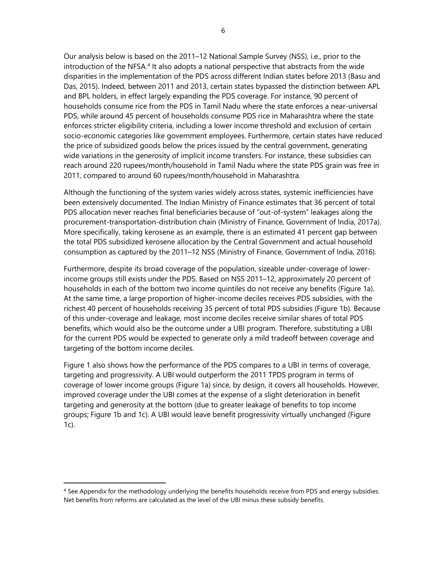Our analysis below is based on the 2011–12 National Sample Survey (NSS), i.e., prior to the introduction of the NFSA.<sup>[4](#page-5-0)</sup> It also adopts a national perspective that abstracts from the wide disparities in the implementation of the PDS across different Indian states before 2013 (Basu and Das, 2015). Indeed, between 2011 and 2013, certain states bypassed the distinction between APL and BPL holders, in effect largely expanding the PDS coverage. For instance, 90 percent of households consume rice from the PDS in Tamil Nadu where the state enforces a near-universal PDS, while around 45 percent of households consume PDS rice in Maharashtra where the state enforces stricter eligibility criteria, including a lower income threshold and exclusion of certain socio-economic categories like government employees. Furthermore, certain states have reduced the price of subsidized goods below the prices issued by the central government, generating wide variations in the generosity of implicit income transfers. For instance, these subsidies can reach around 220 rupees/month/household in Tamil Nadu where the state PDS grain was free in 2011, compared to around 60 rupees/month/household in Maharashtra.

Although the functioning of the system varies widely across states, systemic inefficiencies have been extensively documented. The Indian Ministry of Finance estimates that 36 percent of total PDS allocation never reaches final beneficiaries because of "out-of-system" leakages along the procurement-transportation-distribution chain (Ministry of Finance, Government of India, 2017a). More specifically, taking kerosene as an example, there is an estimated 41 percent gap between the total PDS subsidized kerosene allocation by the Central Government and actual household consumption as captured by the 2011–12 NSS (Ministry of Finance, Government of India, 2016).

Furthermore, despite its broad coverage of the population, sizeable under-coverage of lowerincome groups still exists under the PDS. Based on NSS 2011–12, approximately 20 percent of households in each of the bottom two income quintiles do not receive any benefits (Figure 1a). At the same time, a large proportion of higher-income deciles receives PDS subsidies, with the richest 40 percent of households receiving 35 percent of total PDS subsidies (Figure 1b). Because of this under-coverage and leakage, most income deciles receive similar shares of total PDS benefits, which would also be the outcome under a UBI program. Therefore, substituting a UBI for the current PDS would be expected to generate only a mild tradeoff between coverage and targeting of the bottom income deciles.

Figure 1 also shows how the performance of the PDS compares to a UBI in terms of coverage, targeting and progressivity. A UBI would outperform the 2011 TPDS program in terms of coverage of lower income groups (Figure 1a) since, by design, it covers all households. However, improved coverage under the UBI comes at the expense of a slight deterioration in benefit targeting and generosity at the bottom (due to greater leakage of benefits to top income groups; Figure 1b and 1c). A UBI would leave benefit progressivity virtually unchanged (Figure 1c).

<span id="page-5-0"></span><sup>&</sup>lt;sup>4</sup> See Appendix for the methodology underlying the benefits households receive from PDS and energy subsidies. Net benefits from reforms are calculated as the level of the UBI minus these subsidy benefits.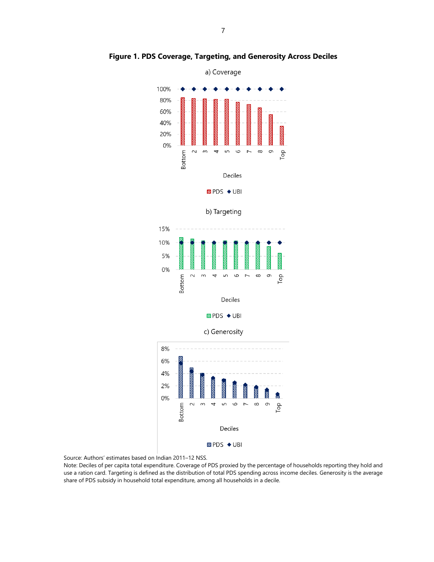

**Figure 1. PDS Coverage, Targeting, and Generosity Across Deciles**





Source: Authors' estimates based on Indian 2011–12 NSS.

Note: Deciles of per capita total expenditure. Coverage of PDS proxied by the percentage of households reporting they hold and use a ration card. Targeting is defined as the distribution of total PDS spending across income deciles. Generosity is the average share of PDS subsidy in household total expenditure, among all households in a decile.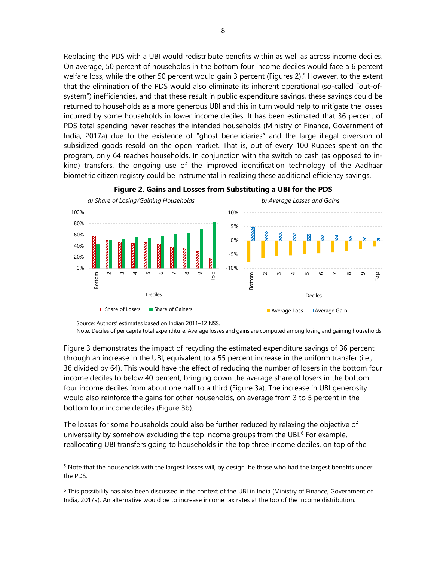Replacing the PDS with a UBI would redistribute benefits within as well as across income deciles. On average, 50 percent of households in the bottom four income deciles would face a 6 percent welfare loss, while the other [5](#page-7-0)0 percent would gain 3 percent (Figures 2).<sup>5</sup> However, to the extent that the elimination of the PDS would also eliminate its inherent operational (so-called "out-ofsystem") inefficiencies, and that these result in public expenditure savings, these savings could be returned to households as a more generous UBI and this in turn would help to mitigate the losses incurred by some households in lower income deciles. It has been estimated that 36 percent of PDS total spending never reaches the intended households (Ministry of Finance, Government of India, 2017a) due to the existence of "ghost beneficiaries" and the large illegal diversion of subsidized goods resold on the open market. That is, out of every 100 Rupees spent on the program, only 64 reaches households. In conjunction with the switch to cash (as opposed to inkind) transfers, the ongoing use of the improved identification technology of the Aadhaar biometric citizen registry could be instrumental in realizing these additional efficiency savings.





 $\overline{a}$ 

Note: Deciles of per capita total expenditure. Average losses and gains are computed among losing and gaining households.

Figure 3 demonstrates the impact of recycling the estimated expenditure savings of 36 percent through an increase in the UBI, equivalent to a 55 percent increase in the uniform transfer (i.e., 36 divided by 64). This would have the effect of reducing the number of losers in the bottom four income deciles to below 40 percent, bringing down the average share of losers in the bottom four income deciles from about one half to a third (Figure 3a). The increase in UBI generosity would also reinforce the gains for other households, on average from 3 to 5 percent in the bottom four income deciles (Figure 3b).

The losses for some households could also be further reduced by relaxing the objective of universality by somehow excluding the top income groups from the UBI. $6$  For example, reallocating UBI transfers going to households in the top three income deciles, on top of the

Source: Authors' estimates based on Indian 2011–12 NSS.

<span id="page-7-0"></span> $5$  Note that the households with the largest losses will, by design, be those who had the largest benefits under the PDS.

<span id="page-7-1"></span><sup>6</sup> This possibility has also been discussed in the context of the UBI in India (Ministry of Finance, Government of India, 2017a). An alternative would be to increase income tax rates at the top of the income distribution.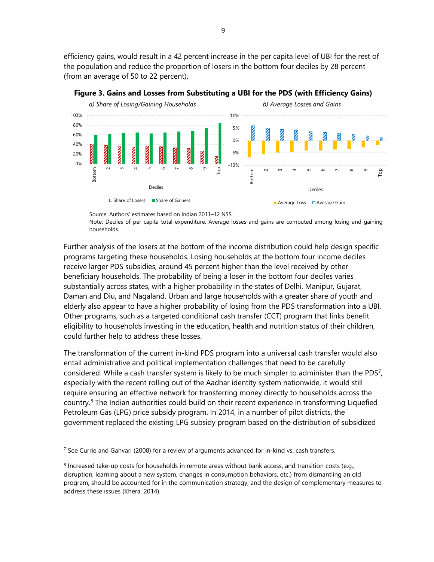efficiency gains, would result in a 42 percent increase in the per capita level of UBI for the rest of the population and reduce the proportion of losers in the bottom four deciles by 28 percent (from an average of 50 to 22 percent).





Note: Deciles of per capita total expenditure. Average losses and gains are computed among losing and gaining households.

Further analysis of the losers at the bottom of the income distribution could help design specific programs targeting these households. Losing households at the bottom four income deciles receive larger PDS subsidies, around 45 percent higher than the level received by other beneficiary households. The probability of being a loser in the bottom four deciles varies substantially across states, with a higher probability in the states of Delhi, Manipur, Gujarat, Daman and Diu, and Nagaland. Urban and large households with a greater share of youth and elderly also appear to have a higher probability of losing from the PDS transformation into a UBI. Other programs, such as a targeted conditional cash transfer (CCT) program that links benefit eligibility to households investing in the education, health and nutrition status of their children, could further help to address these losses.

The transformation of the current in-kind PDS program into a universal cash transfer would also entail administrative and political implementation challenges that need to be carefully considered. While a cash transfer system is likely to be much simpler to administer than the PDS<sup>[7](#page-8-0)</sup>, especially with the recent rolling out of the Aadhar identity system nationwide, it would still require ensuring an effective network for transferring money directly to households across the country.[8](#page-8-1) The Indian authorities could build on their recent experience in transforming Liquefied Petroleum Gas (LPG) price subsidy program. In 2014, in a number of pilot districts, the government replaced the existing LPG subsidy program based on the distribution of subsidized

Source: Authors' estimates based on Indian 2011–12 NSS.

<span id="page-8-0"></span> $7$  See Currie and Gahvari (2008) for a review of arguments advanced for in-kind vs. cash transfers.

<span id="page-8-1"></span> $8$  Increased take-up costs for households in remote areas without bank access, and transition costs (e.g., disruption, learning about a new system, changes in consumption behaviors, etc.) from dismantling an old program, should be accounted for in the communication strategy, and the design of complementary measures to address these issues (Khera, 2014).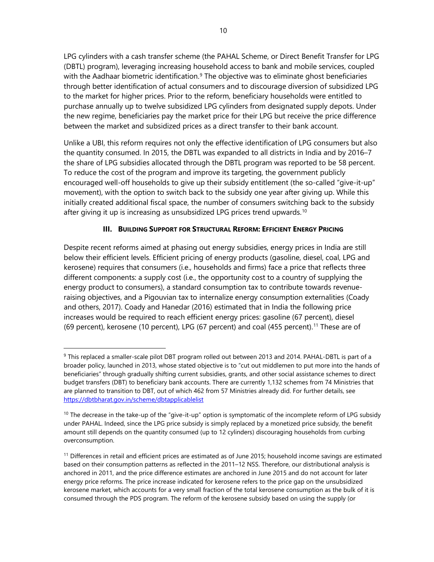LPG cylinders with a cash transfer scheme (the PAHAL Scheme, or Direct Benefit Transfer for LPG (DBTL) program), leveraging increasing household access to bank and mobile services, coupled with the Aadhaar biometric identification.<sup>[9](#page-9-0)</sup> The objective was to eliminate ghost beneficiaries through better identification of actual consumers and to discourage diversion of subsidized LPG to the market for higher prices. Prior to the reform, beneficiary households were entitled to purchase annually up to twelve subsidized LPG cylinders from designated supply depots. Under the new regime, beneficiaries pay the market price for their LPG but receive the price difference between the market and subsidized prices as a direct transfer to their bank account.

Unlike a UBI, this reform requires not only the effective identification of LPG consumers but also the quantity consumed. In 2015, the DBTL was expanded to all districts in India and by 2016–7 the share of LPG subsidies allocated through the DBTL program was reported to be 58 percent. To reduce the cost of the program and improve its targeting, the government publicly encouraged well-off households to give up their subsidy entitlement (the so-called "give-it-up" movement), with the option to switch back to the subsidy one year after giving up. While this initially created additional fiscal space, the number of consumers switching back to the subsidy after giving it up is increasing as unsubsidized LPG prices trend upwards.<sup>[10](#page-9-1)</sup>

# **III. BUILDING SUPPORT FOR STRUCTURAL REFORM: EFFICIENT ENERGY PRICING**

Despite recent reforms aimed at phasing out energy subsidies, energy prices in India are still below their efficient levels. Efficient pricing of energy products (gasoline, diesel, coal, LPG and kerosene) requires that consumers (i.e., households and firms) face a price that reflects three different components: a supply cost (i.e., the opportunity cost to a country of supplying the energy product to consumers), a standard consumption tax to contribute towards revenueraising objectives, and a Pigouvian tax to internalize energy consumption externalities (Coady and others, 2017). Coady and Hanedar (2016) estimated that in India the following price increases would be required to reach efficient energy prices: gasoline (67 percent), diesel (69 percent), kerosene (10 percent), LPG (67 percent) and coal (455 percent).[11](#page-9-2) These are of

<span id="page-9-0"></span><sup>9</sup> This replaced a smaller-scale pilot DBT program rolled out between 2013 and 2014. PAHAL-DBTL is part of a broader policy, launched in 2013, whose stated objective is to "cut out middlemen to put more into the hands of beneficiaries" through gradually shifting current subsidies, grants, and other social assistance schemes to direct budget transfers (DBT) to beneficiary bank accounts. There are currently 1,132 schemes from 74 Ministries that are planned to transition to DBT, out of which 462 from 57 Ministries already did. For further details, see <https://dbtbharat.gov.in/scheme/dbtapplicablelist>

<span id="page-9-1"></span> $10$  The decrease in the take-up of the "give-it-up" option is symptomatic of the incomplete reform of LPG subsidy under PAHAL. Indeed, since the LPG price subsidy is simply replaced by a monetized price subsidy, the benefit amount still depends on the quantity consumed (up to 12 cylinders) discouraging households from curbing overconsumption.

<span id="page-9-2"></span><sup>&</sup>lt;sup>11</sup> Differences in retail and efficient prices are estimated as of June 2015; household income savings are estimated based on their consumption patterns as reflected in the 2011–12 NSS. Therefore, our distributional analysis is anchored in 2011, and the price difference estimates are anchored in June 2015 and do not account for later energy price reforms. The price increase indicated for kerosene refers to the price gap on the unsubsidized kerosene market, which accounts for a very small fraction of the total kerosene consumption as the bulk of it is consumed through the PDS program. The reform of the kerosene subsidy based on using the supply (or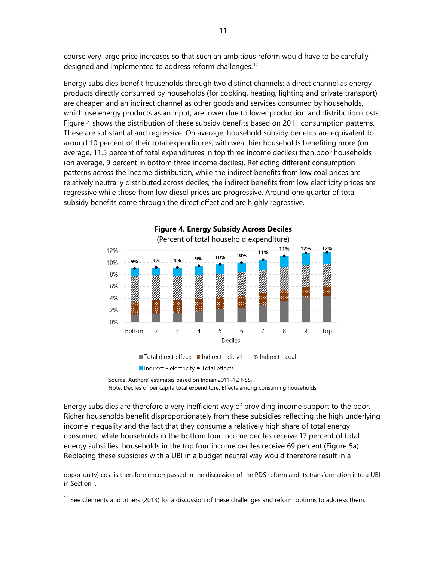course very large price increases so that such an ambitious reform would have to be carefully designed and implemented to address reform challenges.<sup>[12](#page-10-0)</sup>

Energy subsidies benefit households through two distinct channels: a direct channel as energy products directly consumed by households (for cooking, heating, lighting and private transport) are cheaper; and an indirect channel as other goods and services consumed by households, which use energy products as an input, are lower due to lower production and distribution costs. Figure 4 shows the distribution of these subsidy benefits based on 2011 consumption patterns. These are substantial and regressive. On average, household subsidy benefits are equivalent to around 10 percent of their total expenditures, with wealthier households benefiting more (on average, 11.5 percent of total expenditures in top three income deciles) than poor households (on average, 9 percent in bottom three income deciles). Reflecting different consumption patterns across the income distribution, while the indirect benefits from low coal prices are relatively neutrally distributed across deciles, the indirect benefits from low electricity prices are regressive while those from low diesel prices are progressive. Around one quarter of total subsidy benefits come through the direct effect and are highly regressive.



**Figure 4. Energy Subsidy Across Deciles**

Energy subsidies are therefore a very inefficient way of providing income support to the poor. Richer households benefit disproportionately from these subsidies reflecting the high underlying income inequality and the fact that they consume a relatively high share of total energy consumed: while households in the bottom four income deciles receive 17 percent of total energy subsidies, households in the top four income deciles receive 69 percent (Figure 5a). Replacing these subsidies with a UBI in a budget neutral way would therefore result in a

Source: Authors' estimates based on Indian 2011–12 NSS. Note: Deciles of per capita total expenditure. Effects among consuming households.

opportunity) cost is therefore encompassed in the discussion of the PDS reform and its transformation into a UBI in Section I.

<span id="page-10-0"></span> $12$  See Clements and others (2013) for a discussion of these challenges and reform options to address them.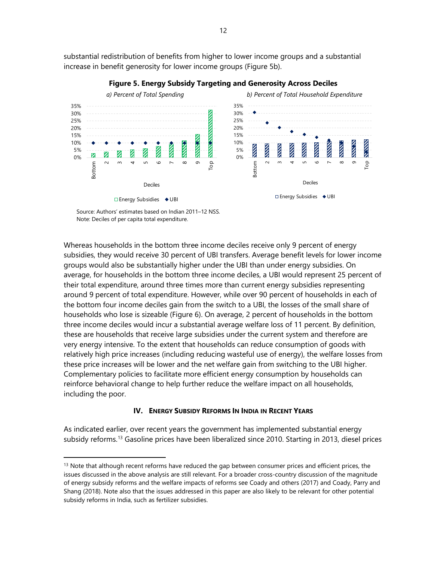substantial redistribution of benefits from higher to lower income groups and a substantial increase in benefit generosity for lower income groups (Figure 5b).



## **Figure 5. Energy Subsidy Targeting and Generosity Across Deciles**

Source: Authors' estimates based on Indian 2011–12 NSS. Note: Deciles of per capita total expenditure.

 $\overline{a}$ 

Whereas households in the bottom three income deciles receive only 9 percent of energy subsidies, they would receive 30 percent of UBI transfers. Average benefit levels for lower income groups would also be substantially higher under the UBI than under energy subsidies. On average, for households in the bottom three income deciles, a UBI would represent 25 percent of their total expenditure, around three times more than current energy subsidies representing around 9 percent of total expenditure. However, while over 90 percent of households in each of the bottom four income deciles gain from the switch to a UBI, the losses of the small share of households who lose is sizeable (Figure 6). On average, 2 percent of households in the bottom three income deciles would incur a substantial average welfare loss of 11 percent. By definition, these are households that receive large subsidies under the current system and therefore are very energy intensive. To the extent that households can reduce consumption of goods with relatively high price increases (including reducing wasteful use of energy), the welfare losses from these price increases will be lower and the net welfare gain from switching to the UBI higher. Complementary policies to facilitate more efficient energy consumption by households can reinforce behavioral change to help further reduce the welfare impact on all households, including the poor.

# **IV. ENERGY SUBSIDY REFORMS IN INDIA IN RECENT YEARS**

As indicated earlier, over recent years the government has implemented substantial energy subsidy reforms.<sup>[13](#page-11-0)</sup> Gasoline prices have been liberalized since 2010. Starting in 2013, diesel prices

<span id="page-11-0"></span> $<sup>13</sup>$  Note that although recent reforms have reduced the gap between consumer prices and efficient prices, the</sup> issues discussed in the above analysis are still relevant. For a broader cross-country discussion of the magnitude of energy subsidy reforms and the welfare impacts of reforms see Coady and others (2017) and Coady, Parry and Shang (2018). Note also that the issues addressed in this paper are also likely to be relevant for other potential subsidy reforms in India, such as fertilizer subsidies.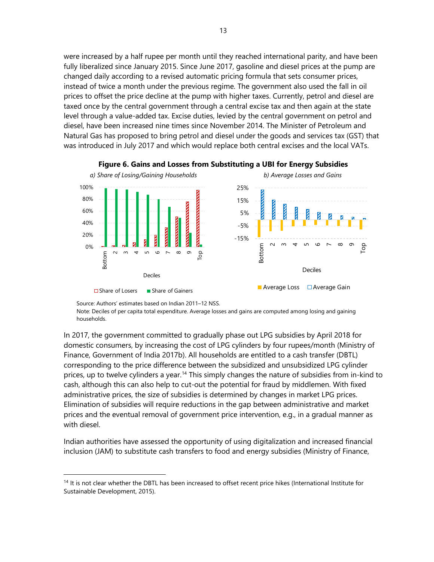were increased by a half rupee per month until they reached international parity, and have been fully liberalized since January 2015. Since June 2017, gasoline and diesel prices at the pump are changed daily according to a revised automatic pricing formula that sets consumer prices, instead of twice a month under the previous regime. The government also used the fall in oil prices to offset the price decline at the pump with higher taxes. Currently, petrol and diesel are taxed once by the central government through a central excise tax and then again at the state level through a value-added tax. Excise duties, levied by the central government on petrol and diesel, have been increased nine times since November 2014. The Minister of Petroleum and Natural Gas has proposed to bring petrol and diesel under the goods and services tax (GST) that was introduced in July 2017 and which would replace both central excises and the local VATs.



**Figure 6. Gains and Losses from Substituting a UBI for Energy Subsidies**

Source: Authors' estimates based on Indian 2011–12 NSS.

 $\overline{a}$ 

Note: Deciles of per capita total expenditure. Average losses and gains are computed among losing and gaining households.

In 2017, the government committed to gradually phase out LPG subsidies by April 2018 for domestic consumers, by increasing the cost of LPG cylinders by four rupees/month (Ministry of Finance, Government of India 2017b). All households are entitled to a cash transfer (DBTL) corresponding to the price difference between the subsidized and unsubsidized LPG cylinder prices, up to twelve cylinders a year.[14](#page-12-0) This simply changes the nature of subsidies from in-kind to cash, although this can also help to cut-out the potential for fraud by middlemen. With fixed administrative prices, the size of subsidies is determined by changes in market LPG prices. Elimination of subsidies will require reductions in the gap between administrative and market prices and the eventual removal of government price intervention, e.g., in a gradual manner as with diesel.

Indian authorities have assessed the opportunity of using digitalization and increased financial inclusion (JAM) to substitute cash transfers to food and energy subsidies (Ministry of Finance,

<span id="page-12-0"></span><sup>&</sup>lt;sup>14</sup> It is not clear whether the DBTL has been increased to offset recent price hikes (International Institute for Sustainable Development, 2015).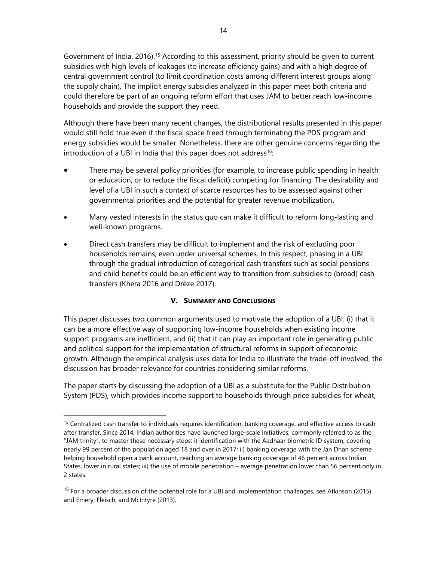Government of India, 2016).<sup>[15](#page-13-0)</sup> According to this assessment, priority should be given to current subsidies with high levels of leakages (to increase efficiency gains) and with a high degree of central government control (to limit coordination costs among different interest groups along the supply chain). The implicit energy subsidies analyzed in this paper meet both criteria and could therefore be part of an ongoing reform effort that uses JAM to better reach low-income households and provide the support they need.

Although there have been many recent changes, the distributional results presented in this paper would still hold true even if the fiscal space freed through terminating the PDS program and energy subsidies would be smaller. Nonetheless, there are other genuine concerns regarding the introduction of a UBI in India that this paper does not address<sup>16</sup>:

- There may be several policy priorities (for example, to increase public spending in health or education, or to reduce the fiscal deficit) competing for financing. The desirability and level of a UBI in such a context of scarce resources has to be assessed against other governmental priorities and the potential for greater revenue mobilization.
- Many vested interests in the status quo can make it difficult to reform long-lasting and well-known programs.
- Direct cash transfers may be difficult to implement and the risk of excluding poor households remains, even under universal schemes. In this respect, phasing in a UBI through the gradual introduction of categorical cash transfers such as social pensions and child benefits could be an efficient way to transition from subsidies to (broad) cash transfers (Khera 2016 and Drèze 2017).

# **V. SUMMARY AND CONCLUSIONS**

This paper discusses two common arguments used to motivate the adoption of a UBI: (i) that it can be a more effective way of supporting low-income households when existing income support programs are inefficient, and (ii) that it can play an important role in generating public and political support for the implementation of structural reforms in support of economic growth. Although the empirical analysis uses data for India to illustrate the trade-off involved, the discussion has broader relevance for countries considering similar reforms.

The paper starts by discussing the adoption of a UBI as a substitute for the Public Distribution System (PDS), which provides income support to households through price subsidies for wheat,

<span id="page-13-0"></span><sup>&</sup>lt;sup>15</sup> Centralized cash transfer to individuals requires identification, banking coverage, and effective access to cash after transfer. Since 2014, Indian authorities have launched large-scale initiatives, commonly referred to as the "JAM trinity", to master these necessary steps: i) identification with the Aadhaar biometric ID system, covering nearly 99 percent of the population aged 18 and over in 2017; ii) banking coverage with the Jan Dhan scheme helping household open a bank account, reaching an average banking coverage of 46 percent across Indian States, lower in rural states; iii) the use of mobile penetration – average penetration lower than 56 percent only in 2 states.

<span id="page-13-1"></span> $16$  For a broader discussion of the potential role for a UBI and implementation challenges, see Atkinson (2015) and Emery, Fleisch, and McIntyre (2013).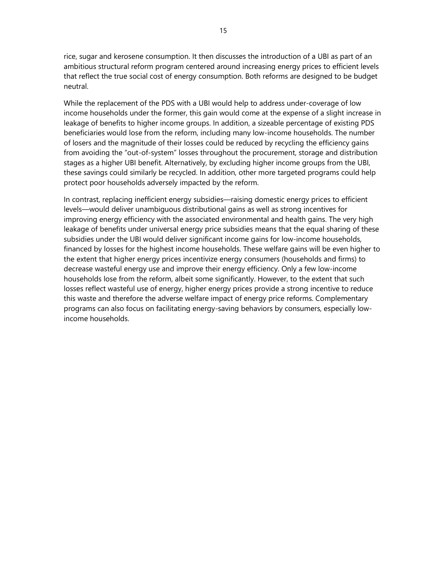rice, sugar and kerosene consumption. It then discusses the introduction of a UBI as part of an ambitious structural reform program centered around increasing energy prices to efficient levels that reflect the true social cost of energy consumption. Both reforms are designed to be budget neutral.

While the replacement of the PDS with a UBI would help to address under-coverage of low income households under the former, this gain would come at the expense of a slight increase in leakage of benefits to higher income groups. In addition, a sizeable percentage of existing PDS beneficiaries would lose from the reform, including many low-income households. The number of losers and the magnitude of their losses could be reduced by recycling the efficiency gains from avoiding the "out-of-system" losses throughout the procurement, storage and distribution stages as a higher UBI benefit. Alternatively, by excluding higher income groups from the UBI, these savings could similarly be recycled. In addition, other more targeted programs could help protect poor households adversely impacted by the reform.

In contrast, replacing inefficient energy subsidies—raising domestic energy prices to efficient levels—would deliver unambiguous distributional gains as well as strong incentives for improving energy efficiency with the associated environmental and health gains. The very high leakage of benefits under universal energy price subsidies means that the equal sharing of these subsidies under the UBI would deliver significant income gains for low-income households, financed by losses for the highest income households. These welfare gains will be even higher to the extent that higher energy prices incentivize energy consumers (households and firms) to decrease wasteful energy use and improve their energy efficiency. Only a few low-income households lose from the reform, albeit some significantly. However, to the extent that such losses reflect wasteful use of energy, higher energy prices provide a strong incentive to reduce this waste and therefore the adverse welfare impact of energy price reforms. Complementary programs can also focus on facilitating energy-saving behaviors by consumers, especially lowincome households.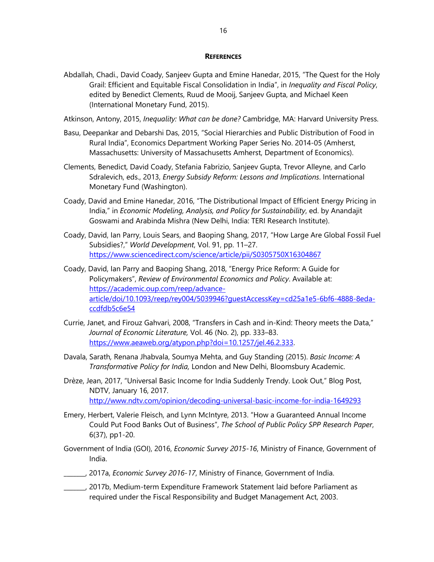### **REFERENCES**

- Abdallah, Chadi., David Coady, Sanjeev Gupta and Emine Hanedar, 2015, "The Quest for the Holy Grail: Efficient and Equitable Fiscal Consolidation in India", in *Inequality and Fiscal Policy*, edited by Benedict Clements, Ruud de Mooij, Sanjeev Gupta, and Michael Keen (International Monetary Fund, 2015).
- Atkinson, Antony, 2015, *Inequality: What can be done?* Cambridge, MA: Harvard University Press.
- Basu, Deepankar and Debarshi Das, 2015, "Social Hierarchies and Public Distribution of Food in Rural India", Economics Department Working Paper Series No. 2014-05 (Amherst, Massachusetts: University of Massachusetts Amherst, Department of Economics).
- Clements, Benedict, David Coady, Stefania Fabrizio, Sanjeev Gupta, Trevor Alleyne, and Carlo Sdralevich, eds., 2013, *Energy Subsidy Reform: Lessons and Implications*. International Monetary Fund (Washington).
- Coady, David and Emine Hanedar, 2016, "The Distributional Impact of Efficient Energy Pricing in India," in *Economic Modeling, Analysis, and Policy for Sustainability*, ed. by Anandajit Goswami and Arabinda Mishra (New Delhi, India: TERI Research Institute).
- Coady, David, Ian Parry, Louis Sears, and Baoping Shang, 2017, "How Large Are Global Fossil Fuel Subsidies?," *World Development*, Vol. 91, pp. 11–27. <https://www.sciencedirect.com/science/article/pii/S0305750X16304867>
- Coady, David, Ian Parry and Baoping Shang, 2018, "Energy Price Reform: A Guide for Policymakers", *Review of Environmental Economics and Policy*. Available at: [https://academic.oup.com/reep/advance](https://academic.oup.com/reep/advance-article/doi/10.1093/reep/rey004/5039946?guestAccessKey=cd25a1e5-6bf6-4888-8eda-ccdfdb5c6e54)[article/doi/10.1093/reep/rey004/5039946?guestAccessKey=cd25a1e5-6bf6-4888-8eda](https://academic.oup.com/reep/advance-article/doi/10.1093/reep/rey004/5039946?guestAccessKey=cd25a1e5-6bf6-4888-8eda-ccdfdb5c6e54)[ccdfdb5c6e54](https://academic.oup.com/reep/advance-article/doi/10.1093/reep/rey004/5039946?guestAccessKey=cd25a1e5-6bf6-4888-8eda-ccdfdb5c6e54)
- Currie, Janet, and Firouz Gahvari, 2008, "Transfers in Cash and in-Kind: Theory meets the Data," *Journal of Economic Literature,* Vol. 46 (No. 2), pp. 333–83. [https://www.aeaweb.org/atypon.php?doi=10.1257/jel.46.2.333.](https://www.aeaweb.org/atypon.php?doi=10.1257/jel.46.2.333)
- Davala, Sarath*,* Renana Jhabvala, Soumya Mehta, and Guy Standing (2015). *Basic Income: A Transformative Policy for India,* London and New Delhi, Bloomsbury Academic.
- Drèze, Jean, 2017, "Universal Basic Income for India Suddenly Trendy. Look Out," Blog Post, NDTV, January 16, 2017. <http://www.ndtv.com/opinion/decoding-universal-basic-income-for-india-1649293>
- Emery, Herbert, Valerie Fleisch, and Lynn McIntyre, 2013. "How a Guaranteed Annual Income Could Put Food Banks Out of Business", *The School of Public Policy SPP Research Paper*, 6(37), pp1-20.
- Government of India (GOI), 2016, *Economic Survey 2015-16*, Ministry of Finance, Government of India.
- \_\_\_\_\_\_\_, 2017a, *Economic Survey 2016-17*, Ministry of Finance, Government of India.
- \_\_\_\_, 2017b, Medium-term Expenditure Framework Statement laid before Parliament as required under the Fiscal Responsibility and Budget Management Act, 2003.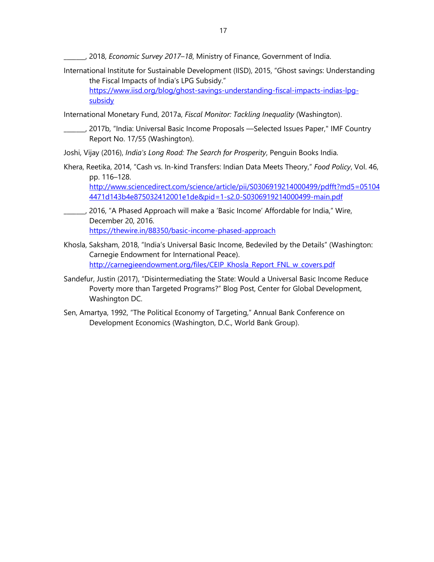\_\_\_\_\_\_\_, 2018, *Economic Survey 2017–18*, Ministry of Finance, Government of India.

- International Institute for Sustainable Development (IISD), 2015, "Ghost savings: Understanding the Fiscal Impacts of India's LPG Subsidy." [https://www.iisd.org/blog/ghost-savings-understanding-fiscal-impacts-indias-lpg](https://www.iisd.org/blog/ghost-savings-understanding-fiscal-impacts-indias-lpg-subsidy)[subsidy](https://www.iisd.org/blog/ghost-savings-understanding-fiscal-impacts-indias-lpg-subsidy)
- International Monetary Fund, 2017a, *Fiscal Monitor: Tackling Inequality* (Washington).
- , 2017b, "India: Universal Basic Income Proposals —Selected Issues Paper," IMF Country Report No. 17/55 (Washington).

Joshi, Vijay (2016), *India's Long Road: The Search for Prosperity*, Penguin Books India.

- Khera, Reetika, 2014, "Cash vs. In-kind Transfers: Indian Data Meets Theory," *Food Policy*, Vol. 46, pp. 116–128. [http://www.sciencedirect.com/science/article/pii/S0306919214000499/pdfft?md5=05104](http://www.sciencedirect.com/science/article/pii/S0306919214000499/pdfft?md5=051044471d143b4e875032412001e1de&pid=1-s2.0-S0306919214000499-main.pdf) [4471d143b4e875032412001e1de&pid=1-s2.0-S0306919214000499-main.pdf](http://www.sciencedirect.com/science/article/pii/S0306919214000499/pdfft?md5=051044471d143b4e875032412001e1de&pid=1-s2.0-S0306919214000499-main.pdf)
- \_\_\_\_\_\_\_, 2016, "A Phased Approach will make a 'Basic Income' Affordable for India," Wire, December 20, 2016. <https://thewire.in/88350/basic-income-phased-approach>
- Khosla, Saksham, 2018, "India's Universal Basic Income, Bedeviled by the Details" (Washington: Carnegie Endowment for International Peace). [http://carnegieendowment.org/files/CEIP\\_Khosla\\_Report\\_FNL\\_w\\_covers.pdf](http://carnegieendowment.org/files/CEIP_Khosla_Report_FNL_w_covers.pdf)
- Sandefur, Justin (2017), "Disintermediating the State: Would a Universal Basic Income Reduce Poverty more than Targeted Programs?" Blog Post, Center for Global Development, Washington DC.
- Sen, Amartya, 1992, "The Political Economy of Targeting," Annual Bank Conference on Development Economics (Washington, D.C., World Bank Group).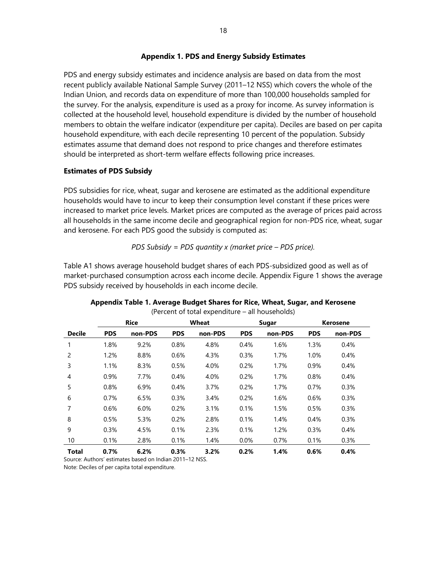# **Appendix 1. PDS and Energy Subsidy Estimates**

PDS and energy subsidy estimates and incidence analysis are based on data from the most recent publicly available National Sample Survey (2011–12 NSS) which covers the whole of the Indian Union, and records data on expenditure of more than 100,000 households sampled for the survey. For the analysis, expenditure is used as a proxy for income. As survey information is collected at the household level, household expenditure is divided by the number of household members to obtain the welfare indicator (expenditure per capita). Deciles are based on per capita household expenditure, with each decile representing 10 percent of the population. Subsidy estimates assume that demand does not respond to price changes and therefore estimates should be interpreted as short-term welfare effects following price increases.

# **Estimates of PDS Subsidy**

PDS subsidies for rice, wheat, sugar and kerosene are estimated as the additional expenditure households would have to incur to keep their consumption level constant if these prices were increased to market price levels. Market prices are computed as the average of prices paid across all households in the same income decile and geographical region for non-PDS rice, wheat, sugar and kerosene. For each PDS good the subsidy is computed as:

# *PDS Subsidy = PDS quantity x (market price – PDS price).*

Table A1 shows average household budget shares of each PDS-subsidized good as well as of market-purchased consumption across each income decile. Appendix Figure 1 shows the average PDS subsidy received by households in each income decile.

|                | <b>Rice</b> |         | Wheat      |         | Sugar      |         | <b>Kerosene</b> |         |
|----------------|-------------|---------|------------|---------|------------|---------|-----------------|---------|
| <b>Decile</b>  | <b>PDS</b>  | non-PDS | <b>PDS</b> | non-PDS | <b>PDS</b> | non-PDS | <b>PDS</b>      | non-PDS |
| 1              | 1.8%        | 9.2%    | 0.8%       | 4.8%    | 0.4%       | 1.6%    | 1.3%            | 0.4%    |
| 2              | 1.2%        | 8.8%    | 0.6%       | 4.3%    | 0.3%       | 1.7%    | 1.0%            | 0.4%    |
| 3              | 1.1%        | 8.3%    | 0.5%       | 4.0%    | 0.2%       | 1.7%    | 0.9%            | 0.4%    |
| $\overline{4}$ | 0.9%        | 7.7%    | 0.4%       | 4.0%    | 0.2%       | 1.7%    | 0.8%            | 0.4%    |
| 5              | 0.8%        | 6.9%    | 0.4%       | 3.7%    | 0.2%       | 1.7%    | 0.7%            | 0.3%    |
| 6              | 0.7%        | 6.5%    | 0.3%       | 3.4%    | 0.2%       | 1.6%    | 0.6%            | 0.3%    |
| 7              | 0.6%        | 6.0%    | 0.2%       | 3.1%    | 0.1%       | 1.5%    | 0.5%            | 0.3%    |
| 8              | 0.5%        | 5.3%    | 0.2%       | 2.8%    | 0.1%       | 1.4%    | 0.4%            | 0.3%    |
| 9              | 0.3%        | 4.5%    | 0.1%       | 2.3%    | 0.1%       | 1.2%    | 0.3%            | 0.4%    |
| 10             | 0.1%        | 2.8%    | 0.1%       | 1.4%    | 0.0%       | 0.7%    | 0.1%            | 0.3%    |
| <b>Total</b>   | 0.7%        | 6.2%    | 0.3%       | 3.2%    | 0.2%       | 1.4%    | 0.6%            | 0.4%    |

#### **Appendix Table 1. Average Budget Shares for Rice, Wheat, Sugar, and Kerosene** (Percent of total expenditure – all households)

Source: Authors' estimates based on Indian 2011–12 NSS. Note: Deciles of per capita total expenditure.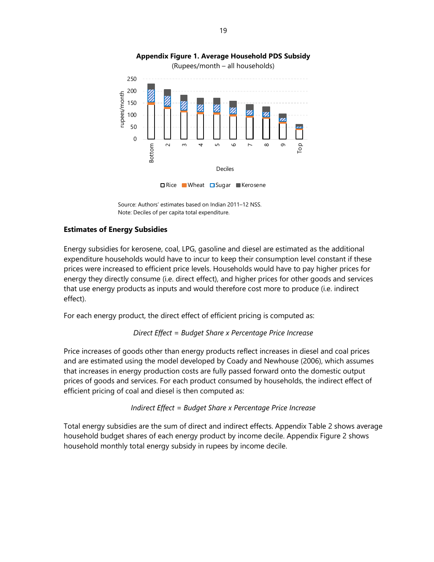

**Appendix Figure 1. Average Household PDS Subsidy**

**□** Rice Wheat 2 Sugar Kerosene

Source: Authors' estimates based on Indian 2011–12 NSS. Note: Deciles of per capita total expenditure.

# **Estimates of Energy Subsidies**

Energy subsidies for kerosene, coal, LPG, gasoline and diesel are estimated as the additional expenditure households would have to incur to keep their consumption level constant if these prices were increased to efficient price levels. Households would have to pay higher prices for energy they directly consume (i.e. direct effect), and higher prices for other goods and services that use energy products as inputs and would therefore cost more to produce (i.e. indirect effect).

For each energy product, the direct effect of efficient pricing is computed as:

# *Direct Effect = Budget Share x Percentage Price Increase*

Price increases of goods other than energy products reflect increases in diesel and coal prices and are estimated using the model developed by Coady and Newhouse (2006), which assumes that increases in energy production costs are fully passed forward onto the domestic output prices of goods and services. For each product consumed by households, the indirect effect of efficient pricing of coal and diesel is then computed as:

*Indirect Effect = Budget Share x Percentage Price Increase*

Total energy subsidies are the sum of direct and indirect effects. Appendix Table 2 shows average household budget shares of each energy product by income decile. Appendix Figure 2 shows household monthly total energy subsidy in rupees by income decile.